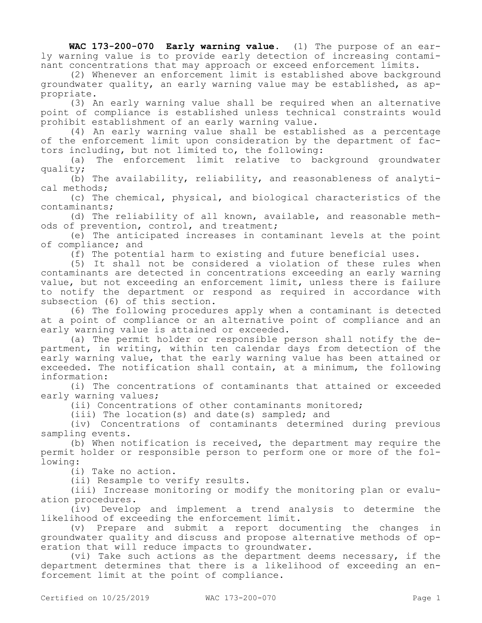**WAC 173-200-070 Early warning value.** (1) The purpose of an early warning value is to provide early detection of increasing contaminant concentrations that may approach or exceed enforcement limits.

(2) Whenever an enforcement limit is established above background groundwater quality, an early warning value may be established, as appropriate.

(3) An early warning value shall be required when an alternative point of compliance is established unless technical constraints would prohibit establishment of an early warning value.

(4) An early warning value shall be established as a percentage of the enforcement limit upon consideration by the department of factors including, but not limited to, the following:

(a) The enforcement limit relative to background groundwater quality;

(b) The availability, reliability, and reasonableness of analytical methods;

(c) The chemical, physical, and biological characteristics of the contaminants;

(d) The reliability of all known, available, and reasonable methods of prevention, control, and treatment;

(e) The anticipated increases in contaminant levels at the point of compliance; and

(f) The potential harm to existing and future beneficial uses.

(5) It shall not be considered a violation of these rules when contaminants are detected in concentrations exceeding an early warning value, but not exceeding an enforcement limit, unless there is failure to notify the department or respond as required in accordance with subsection (6) of this section.

(6) The following procedures apply when a contaminant is detected at a point of compliance or an alternative point of compliance and an early warning value is attained or exceeded.

(a) The permit holder or responsible person shall notify the department, in writing, within ten calendar days from detection of the early warning value, that the early warning value has been attained or exceeded. The notification shall contain, at a minimum, the following information:

(i) The concentrations of contaminants that attained or exceeded early warning values;

(ii) Concentrations of other contaminants monitored;

(iii) The location(s) and date(s) sampled; and

(iv) Concentrations of contaminants determined during previous sampling events.

(b) When notification is received, the department may require the permit holder or responsible person to perform one or more of the following:

(i) Take no action.

(ii) Resample to verify results.

(iii) Increase monitoring or modify the monitoring plan or evaluation procedures.

(iv) Develop and implement a trend analysis to determine the likelihood of exceeding the enforcement limit.

(v) Prepare and submit a report documenting the changes in groundwater quality and discuss and propose alternative methods of operation that will reduce impacts to groundwater.

(vi) Take such actions as the department deems necessary, if the department determines that there is a likelihood of exceeding an enforcement limit at the point of compliance.